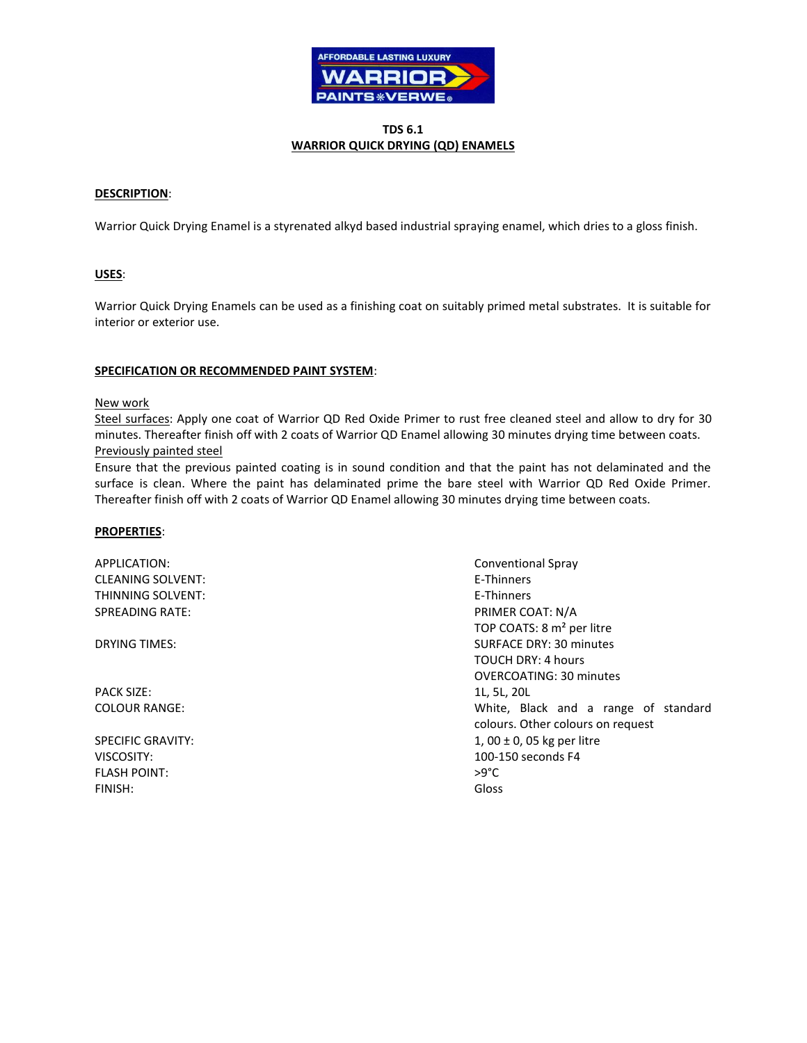

# **TDS 6.1 WARRIOR QUICK DRYING (QD) ENAMELS**

# **DESCRIPTION**:

Warrior Quick Drying Enamel is a styrenated alkyd based industrial spraying enamel, which dries to a gloss finish.

# **USES**:

Warrior Quick Drying Enamels can be used as a finishing coat on suitably primed metal substrates. It is suitable for interior or exterior use.

### **SPECIFICATION OR RECOMMENDED PAINT SYSTEM**:

#### New work

Steel surfaces: Apply one coat of Warrior QD Red Oxide Primer to rust free cleaned steel and allow to dry for 30 minutes. Thereafter finish off with 2 coats of Warrior QD Enamel allowing 30 minutes drying time between coats. Previously painted steel

Ensure that the previous painted coating is in sound condition and that the paint has not delaminated and the surface is clean. Where the paint has delaminated prime the bare steel with Warrior QD Red Oxide Primer. Thereafter finish off with 2 coats of Warrior QD Enamel allowing 30 minutes drying time between coats.

### **PROPERTIES**:

APPLICATION: Conventional Spray CLEANING SOLVENT: The state of the state of the state of the state of the state of the state of the state of the state of the state of the state of the state of the state of the state of the state of the state of the state THINNING SOLVENT: THINNING SOLVENT: SPREADING RATE: THE SPREADING RATE: PRIMER COAT: N/A

PACK SIZE: 11, 5L, 20L

FLASH POINT:  $>9^{\circ}$ C FINISH: Gloss

TOP COATS: 8 m² per litre DRYING TIMES: SURFACE DRY: 30 minutes TOUCH DRY: 4 hours OVERCOATING: 30 minutes COLOUR RANGE: White, Black and a range of standard colours. Other colours on request SPECIFIC GRAVITY:  $1, 00 \pm 0, 05$  kg per litre VISCOSITY: 100-150 seconds F4